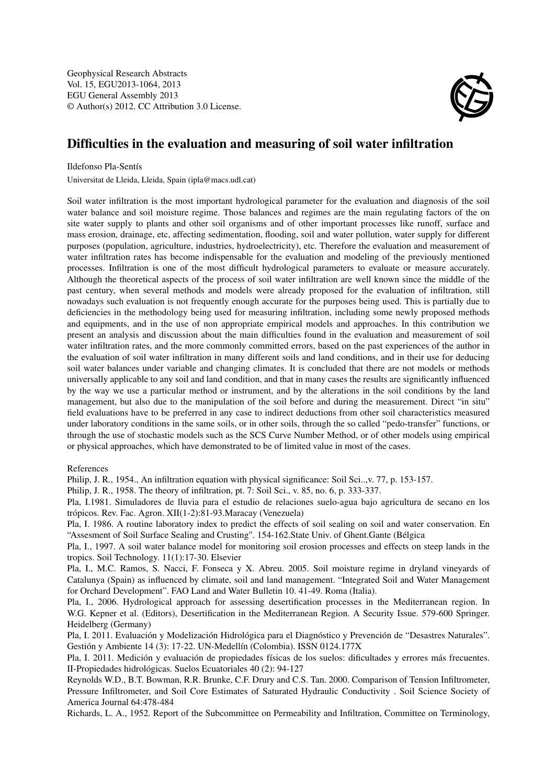Geophysical Research Abstracts Vol. 15, EGU2013-1064, 2013 EGU General Assembly 2013 © Author(s) 2012. CC Attribution 3.0 License.



## Difficulties in the evaluation and measuring of soil water infiltration

Ildefonso Pla-Sentís

Universitat de Lleida, Lleida, Spain (ipla@macs.udl.cat)

Soil water infiltration is the most important hydrological parameter for the evaluation and diagnosis of the soil water balance and soil moisture regime. Those balances and regimes are the main regulating factors of the on site water supply to plants and other soil organisms and of other important processes like runoff, surface and mass erosion, drainage, etc, affecting sedimentation, flooding, soil and water pollution, water supply for different purposes (population, agriculture, industries, hydroelectricity), etc. Therefore the evaluation and measurement of water infiltration rates has become indispensable for the evaluation and modeling of the previously mentioned processes. Infiltration is one of the most difficult hydrological parameters to evaluate or measure accurately. Although the theoretical aspects of the process of soil water infiltration are well known since the middle of the past century, when several methods and models were already proposed for the evaluation of infiltration, still nowadays such evaluation is not frequently enough accurate for the purposes being used. This is partially due to deficiencies in the methodology being used for measuring infiltration, including some newly proposed methods and equipments, and in the use of non appropriate empirical models and approaches. In this contribution we present an analysis and discussion about the main difficulties found in the evaluation and measurement of soil water infiltration rates, and the more commonly committed errors, based on the past experiences of the author in the evaluation of soil water infiltration in many different soils and land conditions, and in their use for deducing soil water balances under variable and changing climates. It is concluded that there are not models or methods universally applicable to any soil and land condition, and that in many cases the results are significantly influenced by the way we use a particular method or instrument, and by the alterations in the soil conditions by the land management, but also due to the manipulation of the soil before and during the measurement. Direct "in situ" field evaluations have to be preferred in any case to indirect deductions from other soil characteristics measured under laboratory conditions in the same soils, or in other soils, through the so called "pedo-transfer" functions, or through the use of stochastic models such as the SCS Curve Number Method, or of other models using empirical or physical approaches, which have demonstrated to be of limited value in most of the cases.

## References

Philip, J. R., 1954., An infiltration equation with physical significance: Soil Sci..,v. 77, p. 153-157.

Philip, J. R., 1958. The theory of infiltration, pt. 7: Soil Sci., v. 85, no. 6, p. 333-337.

Pla, I.1981. Simuladores de lluvia para el estudio de relaciones suelo-agua bajo agricultura de secano en los trópicos. Rev. Fac. Agron. XII(1-2):81-93.Maracay (Venezuela)

Pla, I. 1986. A routine laboratory index to predict the effects of soil sealing on soil and water conservation. En "Assesment of Soil Surface Sealing and Crusting". 154-162.State Univ. of Ghent.Gante (Bélgica

Pla, I., 1997. A soil water balance model for monitoring soil erosion processes and effects on steep lands in the tropics. Soil Technology. 11(1):17-30. Elsevier

Pla, I., M.C. Ramos, S. Nacci, F. Fonseca y X. Abreu. 2005. Soil moisture regime in dryland vineyards of Catalunya (Spain) as influenced by climate, soil and land management. "Integrated Soil and Water Management for Orchard Development". FAO Land and Water Bulletin 10. 41-49. Roma (Italia).

Pla, I., 2006. Hydrological approach for assessing desertification processes in the Mediterranean region. In W.G. Kepner et al. (Editors), Desertification in the Mediterranean Region. A Security Issue. 579-600 Springer. Heidelberg (Germany)

Pla, I. 2011. Evaluación y Modelización Hidrológica para el Diagnóstico y Prevención de "Desastres Naturales". Gestión y Ambiente 14 (3): 17-22. UN-Medellín (Colombia). ISSN 0124.177X

Pla, I. 2011. Medición y evaluación de propiedades físicas de los suelos: dificultades y errores más frecuentes. II-Propiedades hidrológicas. Suelos Ecuatoriales 40 (2): 94-127

Reynolds W.D., B.T. Bowman, R.R. Brunke, C.F. Drury and C.S. Tan. 2000. Comparison of Tension Infiltrometer, Pressure Infiltrometer, and Soil Core Estimates of Saturated Hydraulic Conductivity . Soil Science Society of America Journal 64:478-484

Richards, L. A., 1952. Report of the Subcommittee on Permeability and Infiltration, Committee on Terminology,